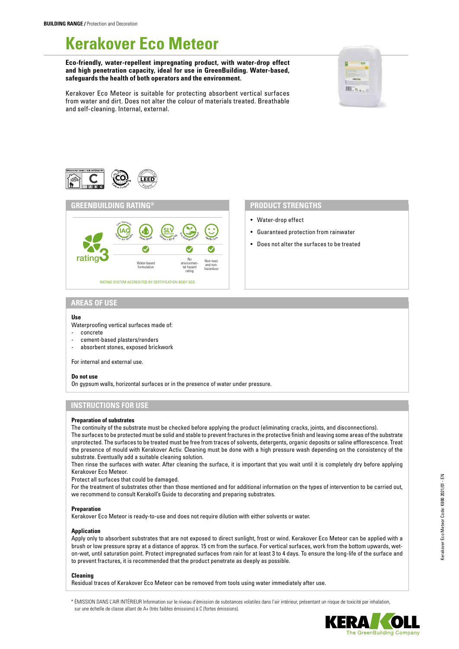# **Kerakover Eco Meteor**

**Eco-friendly, water-repellent impregnating product, with water-drop effect and high penetration capacity, ideal for use in GreenBuilding. Water-based, safeguards the health of both operators and the environment.**



Kerakover Eco Meteor is suitable for protecting absorbent vertical surfaces from water and dirt. Does not alter the colour of materials treated. Breathable and self-cleaning. Internal, external.





- Water-drop effect
- Guaranteed protection from rainwater
- Does not alter the surfaces to be treated

# **AREAS OF USE**

### **Use**

Waterproofing vertical surfaces made of:

- concrete
- cement-based plasters/renders
- absorbent stones, exposed brickwork

For internal and external use.

#### **Do not use**

On gypsum walls, horizontal surfaces or in the presence of water under pressure.

# **INSTRUCTIONS FOR USE**

### **Preparation of substrates**

The continuity of the substrate must be checked before applying the product (eliminating cracks, joints, and disconnections). The surfaces to be protected must be solid and stable to prevent fractures in the protective finish and leaving some areas of the substrate unprotected. The surfaces to be treated must be free from traces of solvents, detergents, organic deposits or saline efflorescence. Treat the presence of mould with Kerakover Activ. Cleaning must be done with a high pressure wash depending on the consistency of the substrate. Eventually add a suitable cleaning solution.

Then rinse the surfaces with water. After cleaning the surface, it is important that you wait until it is completely dry before applying Kerakover Eco Meteor.

Protect all surfaces that could be damaged.

For the treatment of substrates other than those mentioned and for additional information on the types of intervention to be carried out, we recommend to consult Kerakoll's Guide to decorating and preparing substrates.

### **Preparation**

Kerakover Eco Meteor is ready-to-use and does not require dilution with either solvents or water.

#### **Application**

Apply only to absorbent substrates that are not exposed to direct sunlight, frost or wind. Kerakover Eco Meteor can be applied with a brush or low pressure spray at a distance of approx. 15 cm from the surface. For vertical surfaces, work from the bottom upwards, weton-wet, until saturation point. Protect impregnated surfaces from rain for at least 3 to 4 days. To ensure the long-life of the surface and to prevent fractures, it is recommended that the product penetrate as deeply as possible.

#### **Cleaning**

Residual traces of Kerakover Eco Meteor can be removed from tools using water immediately after use.

\* ÉMISSION DANS L'AIR INTÉRIEUR Information sur le niveau d'émission de substances volatiles dans l'air intérieur, présentant un risque de toxicité par inhalation, sur une échelle de classe allant de A+ (très faibles émissions) à C (fortes émissions).